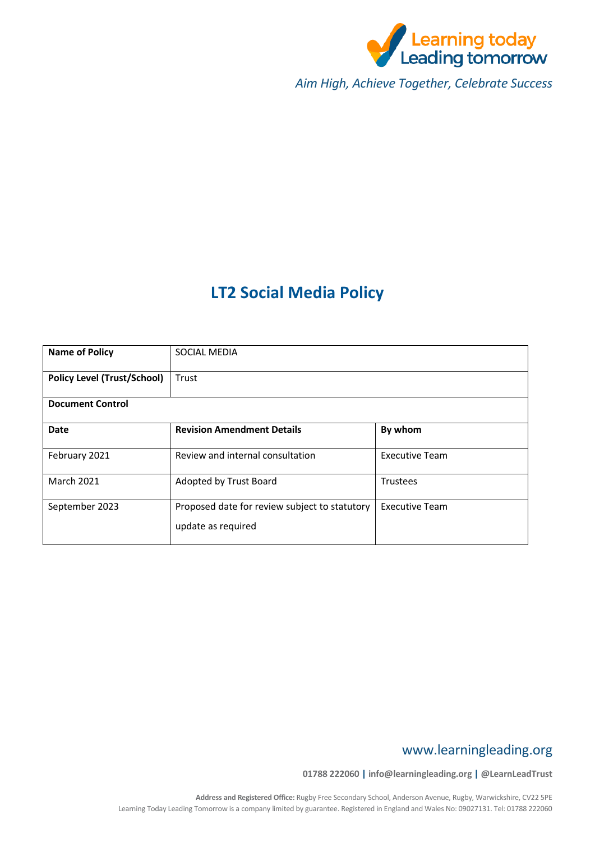

*Aim High, Achieve Together, Celebrate Success*

# **LT2 Social Media Policy**

| <b>Name of Policy</b>              | SOCIAL MEDIA                                                        |                       |  |
|------------------------------------|---------------------------------------------------------------------|-----------------------|--|
| <b>Policy Level (Trust/School)</b> | Trust                                                               |                       |  |
| <b>Document Control</b>            |                                                                     |                       |  |
| <b>Date</b>                        | <b>Revision Amendment Details</b>                                   | By whom               |  |
| February 2021                      | Review and internal consultation                                    | <b>Executive Team</b> |  |
| <b>March 2021</b>                  | Adopted by Trust Board                                              | <b>Trustees</b>       |  |
| September 2023                     | Proposed date for review subject to statutory<br>update as required | <b>Executive Team</b> |  |

# www.learningleading.org

**01788 222060 | info@learningleading.org | @LearnLeadTrust**

**Address and Registered Office:** Rugby Free Secondary School, Anderson Avenue, Rugby, Warwickshire, CV22 5PE Learning Today Leading Tomorrow is a company limited by guarantee. Registered in England and Wales No: 09027131. Tel: 01788 222060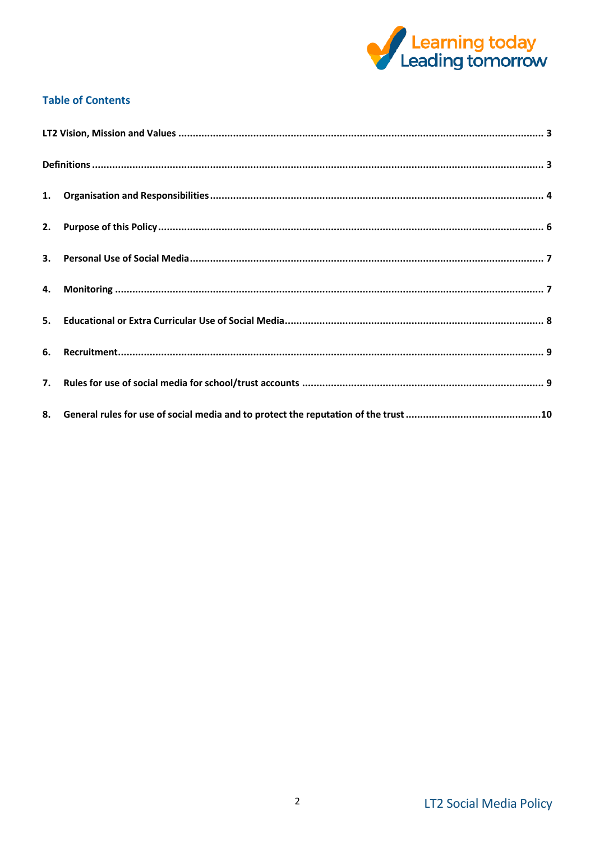

## **Table of Contents**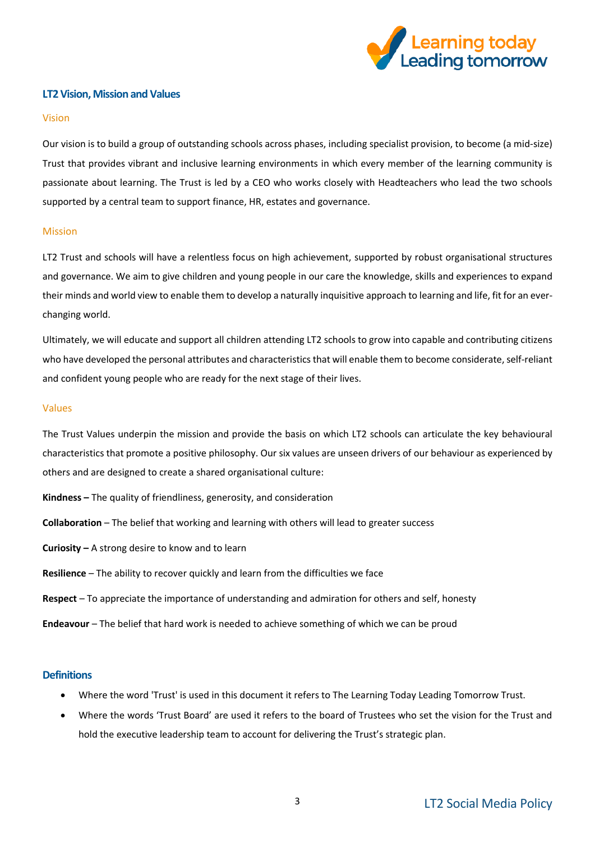

## <span id="page-2-0"></span>**LT2 Vision, Mission and Values**

#### Vision

Our vision is to build a group of outstanding schools across phases, including specialist provision, to become (a mid-size) Trust that provides vibrant and inclusive learning environments in which every member of the learning community is passionate about learning. The Trust is led by a CEO who works closely with Headteachers who lead the two schools supported by a central team to support finance, HR, estates and governance.

#### Mission

LT2 Trust and schools will have a relentless focus on high achievement, supported by robust organisational structures and governance. We aim to give children and young people in our care the knowledge, skills and experiences to expand their minds and world view to enable them to develop a naturally inquisitive approach to learning and life, fit for an everchanging world.

Ultimately, we will educate and support all children attending LT2 schools to grow into capable and contributing citizens who have developed the personal attributes and characteristics that will enable them to become considerate, self-reliant and confident young people who are ready for the next stage of their lives.

#### Values

The Trust Values underpin the mission and provide the basis on which LT2 schools can articulate the key behavioural characteristics that promote a positive philosophy. Our six values are unseen drivers of our behaviour as experienced by others and are designed to create a shared organisational culture:

- **Kindness –** The quality of friendliness, generosity, and consideration
- **Collaboration** The belief that working and learning with others will lead to greater success
- **Curiosity –** A strong desire to know and to learn
- **Resilience** The ability to recover quickly and learn from the difficulties we face
- **Respect** To appreciate the importance of understanding and admiration for others and self, honesty
- **Endeavour** The belief that hard work is needed to achieve something of which we can be proud

#### <span id="page-2-1"></span>**Definitions**

- Where the word 'Trust' is used in this document it refers to The Learning Today Leading Tomorrow Trust.
- Where the words 'Trust Board' are used it refers to the board of Trustees who set the vision for the Trust and hold the executive leadership team to account for delivering the Trust's strategic plan.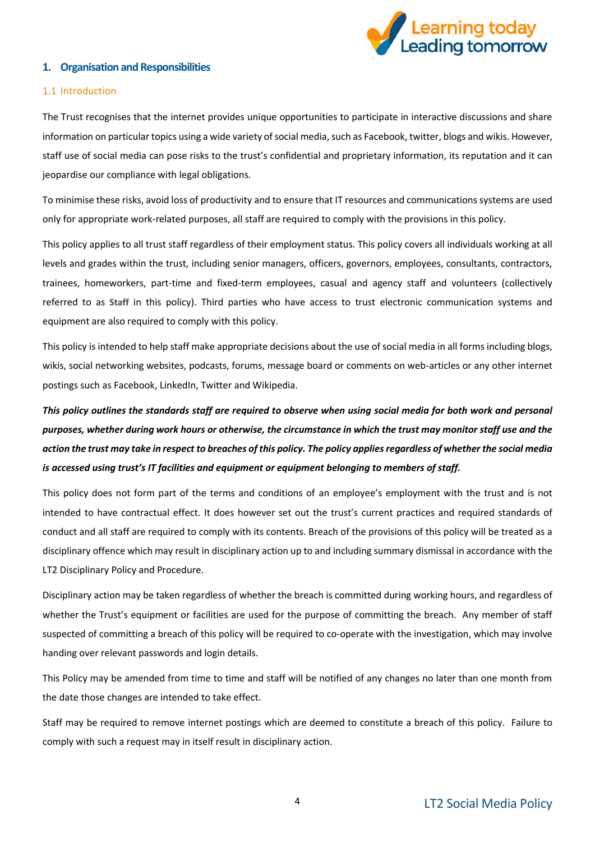

## <span id="page-3-0"></span>**1. Organisation and Responsibilities**

#### 1.1 Introduction

The Trust recognises that the internet provides unique opportunities to participate in interactive discussions and share information on particular topics using a wide variety of social media, such as Facebook, twitter, blogs and wikis. However, staff use of social media can pose risks to the trust's confidential and proprietary information, its reputation and it can jeopardise our compliance with legal obligations.

To minimise these risks, avoid loss of productivity and to ensure that IT resources and communications systems are used only for appropriate work-related purposes, all staff are required to comply with the provisions in this policy.

This policy applies to all trust staff regardless of their employment status. This policy covers all individuals working at all levels and grades within the trust, including senior managers, officers, governors, employees, consultants, contractors, trainees, homeworkers, part-time and fixed-term employees, casual and agency staff and volunteers (collectively referred to as **Staff** in this policy). Third parties who have access to trust electronic communication systems and equipment are also required to comply with this policy.

This policy is intended to help staff make appropriate decisions about the use of social media in all forms including blogs, wikis, social networking websites, podcasts, forums, message board or comments on web-articles or any other internet postings such as Facebook, LinkedIn, Twitter and Wikipedia.

*This policy outlines the standards staff are required to observe when using social media for both work and personal purposes, whether during work hours or otherwise, the circumstance in which the trust may monitor staff use and the action the trust may take in respect to breaches of this policy. The policy applies regardless of whether the social media is accessed using trust's IT facilities and equipment or equipment belonging to members of staff.*

This policy does not form part of the terms and conditions of an employee's employment with the trust and is not intended to have contractual effect. It does however set out the trust's current practices and required standards of conduct and all staff are required to comply with its contents. Breach of the provisions of this policy will be treated as a disciplinary offence which may result in disciplinary action up to and including summary dismissal in accordance with the LT2 Disciplinary Policy and Procedure.

Disciplinary action may be taken regardless of whether the breach is committed during working hours, and regardless of whether the Trust's equipment or facilities are used for the purpose of committing the breach. Any member of staff suspected of committing a breach of this policy will be required to co-operate with the investigation, which may involve handing over relevant passwords and login details.

This Policy may be amended from time to time and staff will be notified of any changes no later than one month from the date those changes are intended to take effect.

Staff may be required to remove internet postings which are deemed to constitute a breach of this policy. Failure to comply with such a request may in itself result in disciplinary action.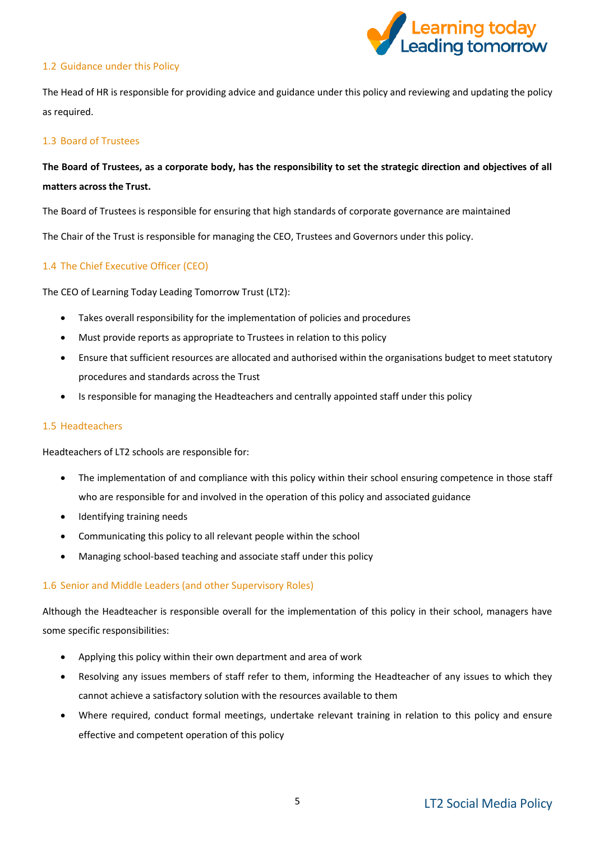

## 1.2 Guidance under this Policy

The Head of HR is responsible for providing advice and guidance under this policy and reviewing and updating the policy as required.

#### 1.3 Board of Trustees

## **The Board of Trustees, as a corporate body, has the responsibility to set the strategic direction and objectives of all matters across the Trust.**

The Board of Trustees is responsible for ensuring that high standards of corporate governance are maintained

The Chair of the Trust is responsible for managing the CEO, Trustees and Governors under this policy.

## 1.4 The Chief Executive Officer (CEO)

The CEO of Learning Today Leading Tomorrow Trust (LT2):

- Takes overall responsibility for the implementation of policies and procedures
- Must provide reports as appropriate to Trustees in relation to this policy
- Ensure that sufficient resources are allocated and authorised within the organisations budget to meet statutory procedures and standards across the Trust
- Is responsible for managing the Headteachers and centrally appointed staff under this policy

#### 1.5 Headteachers

Headteachers of LT2 schools are responsible for:

- The implementation of and compliance with this policy within their school ensuring competence in those staff who are responsible for and involved in the operation of this policy and associated guidance
- Identifying training needs
- Communicating this policy to all relevant people within the school
- Managing school-based teaching and associate staff under this policy

#### 1.6 Senior and Middle Leaders (and other Supervisory Roles)

Although the Headteacher is responsible overall for the implementation of this policy in their school, managers have some specific responsibilities:

- Applying this policy within their own department and area of work
- Resolving any issues members of staff refer to them, informing the Headteacher of any issues to which they cannot achieve a satisfactory solution with the resources available to them
- Where required, conduct formal meetings, undertake relevant training in relation to this policy and ensure effective and competent operation of this policy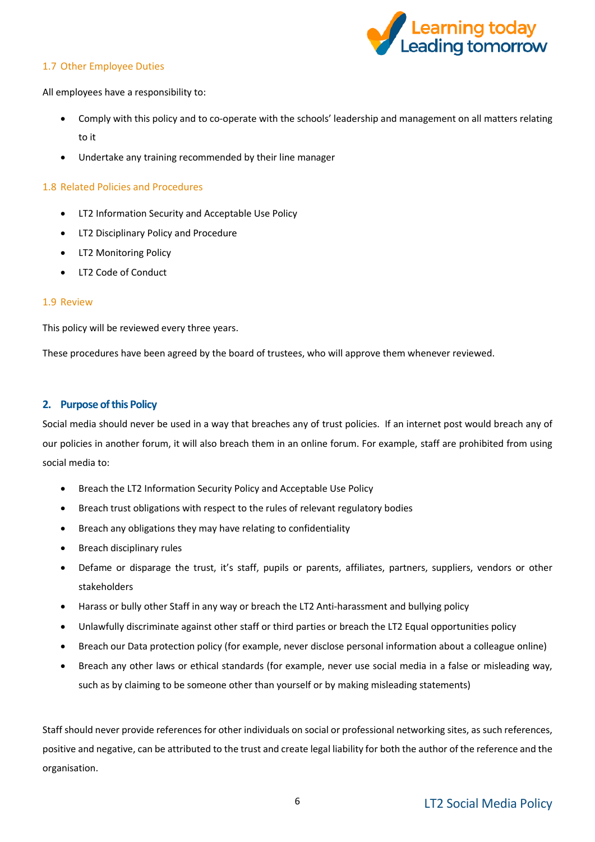

## 1.7 Other Employee Duties

All employees have a responsibility to:

- Comply with this policy and to co-operate with the schools' leadership and management on all matters relating to it
- Undertake any training recommended by their line manager

## 1.8 Related Policies and Procedures

- LT2 Information Security and Acceptable Use Policy
- LT2 Disciplinary Policy and Procedure
- LT2 Monitoring Policy
- LT2 Code of Conduct

## 1.9 Review

This policy will be reviewed every three years.

These procedures have been agreed by the board of trustees, who will approve them whenever reviewed.

## <span id="page-5-0"></span>**2. Purpose of this Policy**

Social media should never be used in a way that breaches any of trust policies. If an internet post would breach any of our policies in another forum, it will also breach them in an online forum. For example, staff are prohibited from using social media to:

- Breach the LT2 Information Security Policy and Acceptable Use Policy
- Breach trust obligations with respect to the rules of relevant regulatory bodies
- Breach any obligations they may have relating to confidentiality
- Breach disciplinary rules
- Defame or disparage the trust, it's staff, pupils or parents, affiliates, partners, suppliers, vendors or other stakeholders
- Harass or bully other Staff in any way or breach the LT2 Anti-harassment and bullying policy
- Unlawfully discriminate against other staff or third parties or breach the LT2 Equal opportunities policy
- Breach our Data protection policy (for example, never disclose personal information about a colleague online)
- Breach any other laws or ethical standards (for example, never use social media in a false or misleading way, such as by claiming to be someone other than yourself or by making misleading statements)

Staff should never provide references for other individuals on social or professional networking sites, as such references, positive and negative, can be attributed to the trust and create legal liability for both the author of the reference and the organisation.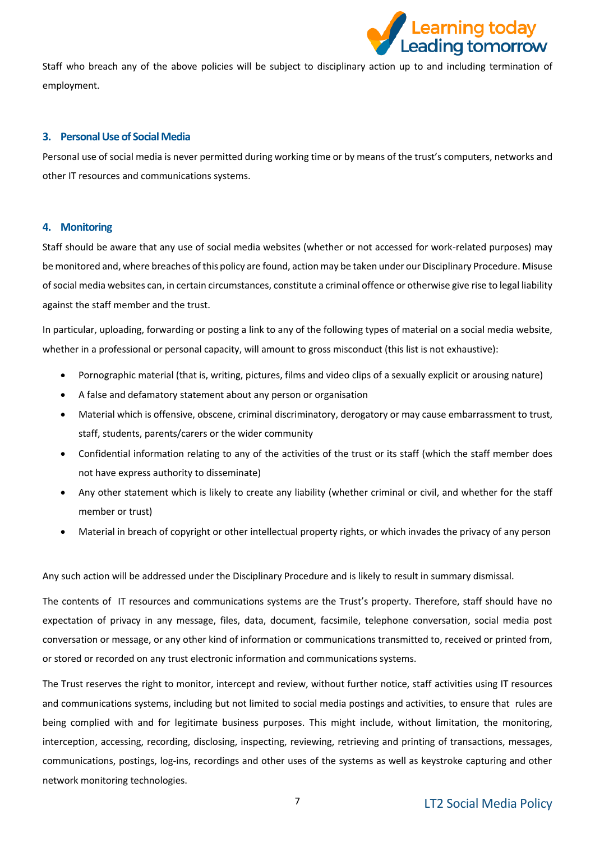

Staff who breach any of the above policies will be subject to disciplinary action up to and including termination of employment.

#### <span id="page-6-0"></span>**3. Personal Use of Social Media**

Personal use of social media is never permitted during working time or by means of the trust's computers, networks and other IT resources and communications systems.

## <span id="page-6-1"></span>**4. Monitoring**

Staff should be aware that any use of social media websites (whether or not accessed for work-related purposes) may be monitored and, where breaches of this policy are found, action may be taken under our Disciplinary Procedure. Misuse of social media websites can, in certain circumstances, constitute a criminal offence or otherwise give rise to legal liability against the staff member and the trust.

In particular, uploading, forwarding or posting a link to any of the following types of material on a social media website, whether in a professional or personal capacity, will amount to gross misconduct (this list is not exhaustive):

- Pornographic material (that is, writing, pictures, films and video clips of a sexually explicit or arousing nature)
- A false and defamatory statement about any person or organisation
- Material which is offensive, obscene, criminal discriminatory, derogatory or may cause embarrassment to trust, staff, students, parents/carers or the wider community
- Confidential information relating to any of the activities of the trust or its staff (which the staff member does not have express authority to disseminate)
- Any other statement which is likely to create any liability (whether criminal or civil, and whether for the staff member or trust)
- Material in breach of copyright or other intellectual property rights, or which invades the privacy of any person

Any such action will be addressed under the Disciplinary Procedure and is likely to result in summary dismissal.

The contents of IT resources and communications systems are the Trust's property. Therefore, staff should have no expectation of privacy in any message, files, data, document, facsimile, telephone conversation, social media post conversation or message, or any other kind of information or communications transmitted to, received or printed from, or stored or recorded on any trust electronic information and communications systems.

The Trust reserves the right to monitor, intercept and review, without further notice, staff activities using IT resources and communications systems, including but not limited to social media postings and activities, to ensure that rules are being complied with and for legitimate business purposes. This might include, without limitation, the monitoring, interception, accessing, recording, disclosing, inspecting, reviewing, retrieving and printing of transactions, messages, communications, postings, log-ins, recordings and other uses of the systems as well as keystroke capturing and other network monitoring technologies.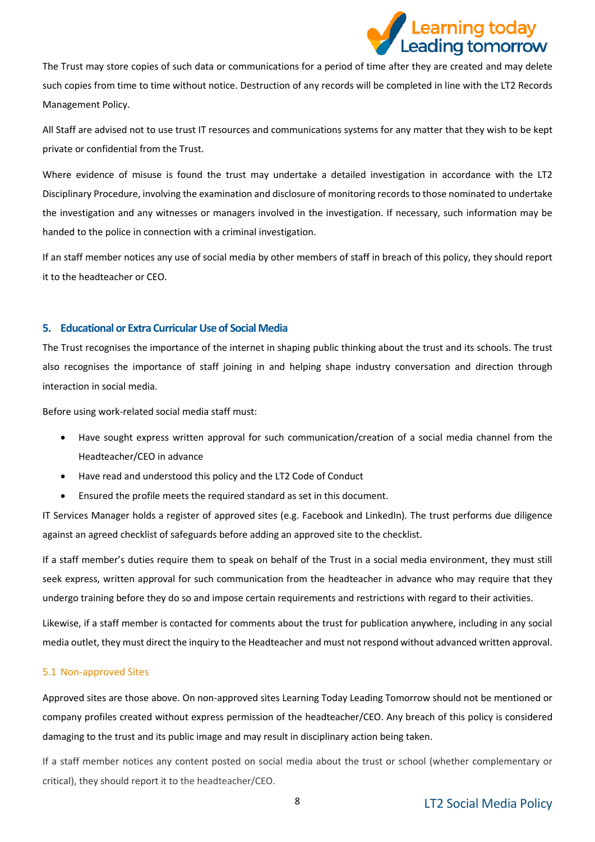

The Trust may store copies of such data or communications for a period of time after they are created and may delete such copies from time to time without notice. Destruction of any records will be completed in line with the LT2 Records Management Policy.

All Staff are advised not to use trust IT resources and communications systems for any matter that they wish to be kept private or confidential from the Trust.

Where evidence of misuse is found the trust may undertake a detailed investigation in accordance with the LT2 Disciplinary Procedure, involving the examination and disclosure of monitoring records to those nominated to undertake the investigation and any witnesses or managers involved in the investigation. If necessary, such information may be handed to the police in connection with a criminal investigation.

If an staff member notices any use of social media by other members of staff in breach of this policy, they should report it to the headteacher or CEO.

## <span id="page-7-0"></span>**5. Educational or Extra Curricular Use of Social Media**

The Trust recognises the importance of the internet in shaping public thinking about the trust and its schools. The trust also recognises the importance of staff joining in and helping shape industry conversation and direction through interaction in social media.

Before using work-related social media staff must:

- Have sought express written approval for such communication/creation of a social media channel from the Headteacher/CEO in advance
- Have read and understood this policy and the LT2 Code of Conduct
- Ensured the profile meets the required standard as set in this document.

IT Services Manager holds a register of approved sites (e.g. Facebook and LinkedIn). The trust performs due diligence against an agreed checklist of safeguards before adding an approved site to the checklist.

If a staff member's duties require them to speak on behalf of the Trust in a social media environment, they must still seek express, written approval for such communication from the headteacher in advance who may require that they undergo training before they do so and impose certain requirements and restrictions with regard to their activities.

Likewise, if a staff member is contacted for comments about the trust for publication anywhere, including in any social media outlet, they must direct the inquiry to the Headteacher and must not respond without advanced written approval.

#### 5.1 Non-approved Sites

Approved sites are those above. On non-approved sites Learning Today Leading Tomorrow should not be mentioned or company profiles created without express permission of the headteacher/CEO. Any breach of this policy is considered damaging to the trust and its public image and may result in disciplinary action being taken.

If a staff member notices any content posted on social media about the trust or school (whether complementary or critical), they should report it to the headteacher/CEO.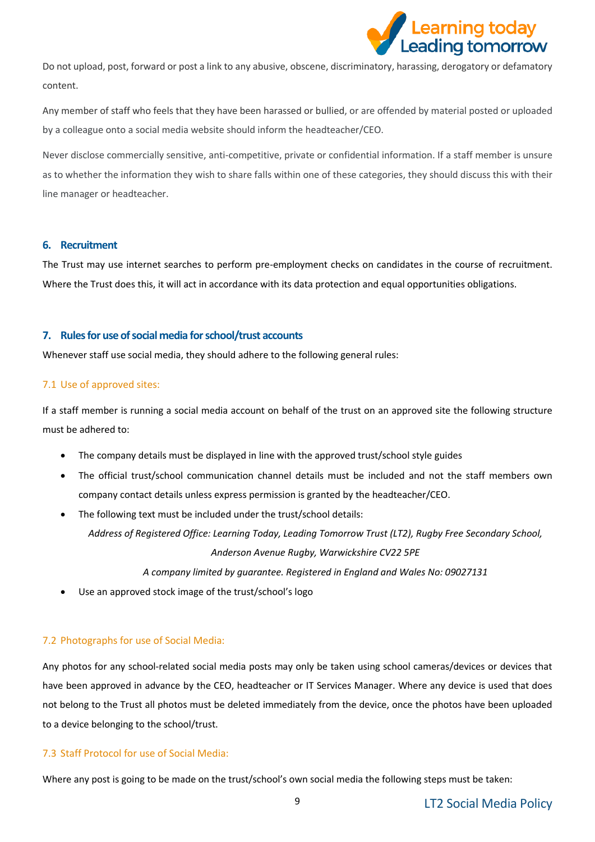

Do not upload, post, forward or post a link to any abusive, obscene, discriminatory, harassing, derogatory or defamatory content.

Any member of staff who feels that they have been harassed or bullied, or are offended by material posted or uploaded by a colleague onto a social media website should inform the headteacher/CEO.

Never disclose commercially sensitive, anti-competitive, private or confidential information. If a staff member is unsure as to whether the information they wish to share falls within one of these categories, they should discuss this with their line manager or headteacher.

## <span id="page-8-0"></span>**6. Recruitment**

The Trust may use internet searches to perform pre-employment checks on candidates in the course of recruitment. Where the Trust does this, it will act in accordance with its data protection and equal opportunities obligations.

## <span id="page-8-1"></span>**7. Rules for use of social media for school/trust accounts**

Whenever staff use social media, they should adhere to the following general rules:

## 7.1 Use of approved sites:

If a staff member is running a social media account on behalf of the trust on an approved site the following structure must be adhered to:

- The company details must be displayed in line with the approved trust/school style guides
- The official trust/school communication channel details must be included and not the staff members own company contact details unless express permission is granted by the headteacher/CEO.
- The following text must be included under the trust/school details: *Address of Registered Office: Learning Today, Leading Tomorrow Trust (LT2), Rugby Free Secondary School,*

*Anderson Avenue Rugby, Warwickshire CV22 5PE*

*A company limited by guarantee. Registered in England and Wales No: 09027131*

• Use an approved stock image of the trust/school's logo

## 7.2 Photographs for use of Social Media:

Any photos for any school-related social media posts may only be taken using school cameras/devices or devices that have been approved in advance by the CEO, headteacher or IT Services Manager. Where any device is used that does not belong to the Trust all photos must be deleted immediately from the device, once the photos have been uploaded to a device belonging to the school/trust.

## 7.3 Staff Protocol for use of Social Media:

Where any post is going to be made on the trust/school's own social media the following steps must be taken: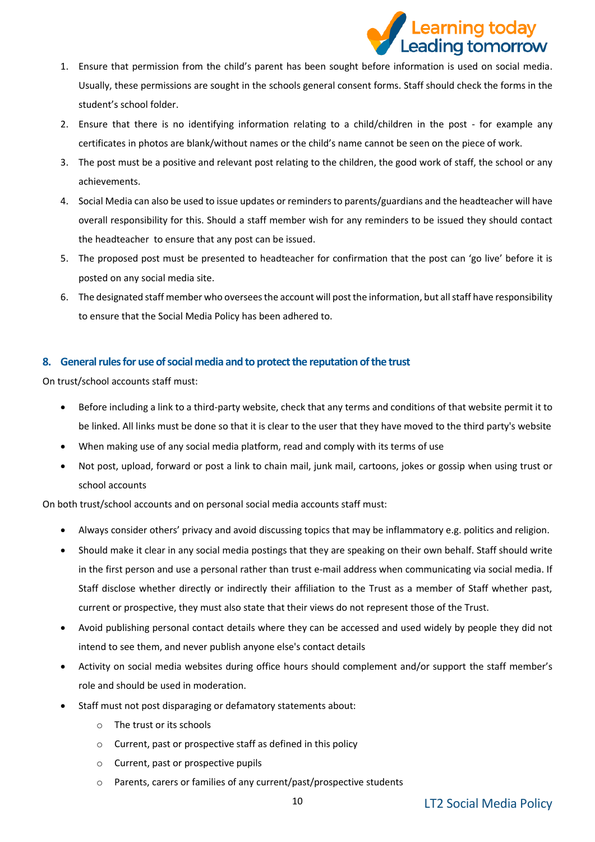

- 1. Ensure that permission from the child's parent has been sought before information is used on social media. Usually, these permissions are sought in the schools general consent forms. Staff should check the forms in the student's school folder.
- 2. Ensure that there is no identifying information relating to a child/children in the post for example any certificates in photos are blank/without names or the child's name cannot be seen on the piece of work.
- 3. The post must be a positive and relevant post relating to the children, the good work of staff, the school or any achievements.
- 4. Social Media can also be used to issue updates or reminders to parents/guardians and the headteacher will have overall responsibility for this. Should a staff member wish for any reminders to be issued they should contact the headteacher to ensure that any post can be issued.
- 5. The proposed post must be presented to headteacher for confirmation that the post can 'go live' before it is posted on any social media site.
- 6. The designated staff member who oversees the account will post the information, but all staff have responsibility to ensure that the Social Media Policy has been adhered to.

## <span id="page-9-0"></span>**8. General rules for use of social media and to protectthe reputation of the trust**

On trust/school accounts staff must:

- Before including a link to a third-party website, check that any terms and conditions of that website permit it to be linked. All links must be done so that it is clear to the user that they have moved to the third party's website
- When making use of any social media platform, read and comply with its terms of use
- Not post, upload, forward or post a link to chain mail, junk mail, cartoons, jokes or gossip when using trust or school accounts

On both trust/school accounts and on personal social media accounts staff must:

- Always consider others' privacy and avoid discussing topics that may be inflammatory e.g. politics and religion.
- Should make it clear in any social media postings that they are speaking on their own behalf. Staff should write in the first person and use a personal rather than trust e-mail address when communicating via social media. If Staff disclose whether directly or indirectly their affiliation to the Trust as a member of Staff whether past, current or prospective, they must also state that their views do not represent those of the Trust.
- Avoid publishing personal contact details where they can be accessed and used widely by people they did not intend to see them, and never publish anyone else's contact details
- Activity on social media websites during office hours should complement and/or support the staff member's role and should be used in moderation.
- Staff must not post disparaging or defamatory statements about:
	- o The trust or its schools
	- o Current, past or prospective staff as defined in this policy
	- o Current, past or prospective pupils
	- o Parents, carers or families of any current/past/prospective students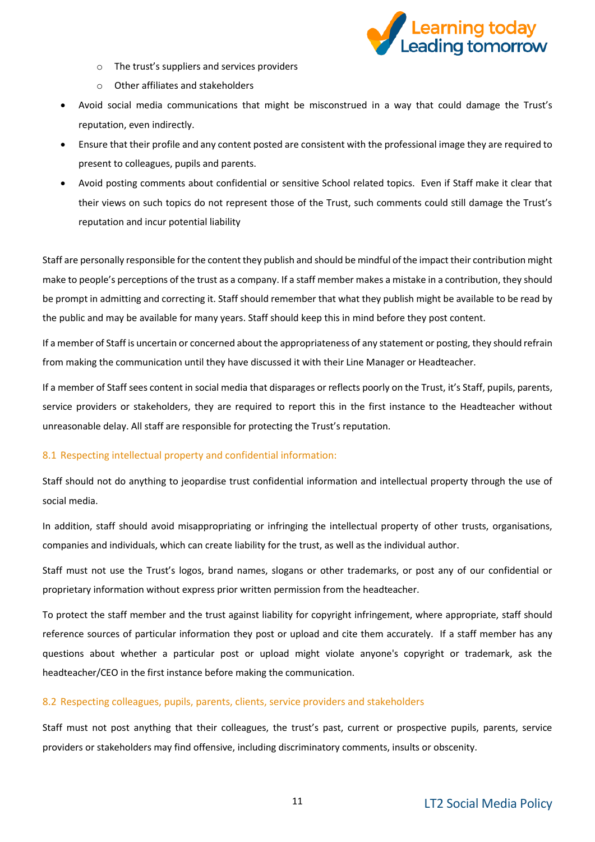

- o The trust's suppliers and services providers
- o Other affiliates and stakeholders
- Avoid social media communications that might be misconstrued in a way that could damage the Trust's reputation, even indirectly.
- Ensure that their profile and any content posted are consistent with the professional image they are required to present to colleagues, pupils and parents.
- Avoid posting comments about confidential or sensitive School related topics. Even if Staff make it clear that their views on such topics do not represent those of the Trust, such comments could still damage the Trust's reputation and incur potential liability

Staff are personally responsible for the content they publish and should be mindful of the impact their contribution might make to people's perceptions of the trust as a company. If a staff member makes a mistake in a contribution, they should be prompt in admitting and correcting it. Staff should remember that what they publish might be available to be read by the public and may be available for many years. Staff should keep this in mind before they post content.

If a member of Staff is uncertain or concerned about the appropriateness of any statement or posting, they should refrain from making the communication until they have discussed it with their Line Manager or Headteacher.

If a member of Staff sees content in social media that disparages or reflects poorly on the Trust, it's Staff, pupils, parents, service providers or stakeholders, they are required to report this in the first instance to the Headteacher without unreasonable delay. All staff are responsible for protecting the Trust's reputation.

## 8.1 Respecting intellectual property and confidential information:

Staff should not do anything to jeopardise trust confidential information and intellectual property through the use of social media.

In addition, staff should avoid misappropriating or infringing the intellectual property of other trusts, organisations, companies and individuals, which can create liability for the trust, as well as the individual author.

Staff must not use the Trust's logos, brand names, slogans or other trademarks, or post any of our confidential or proprietary information without express prior written permission from the headteacher.

To protect the staff member and the trust against liability for copyright infringement, where appropriate, staff should reference sources of particular information they post or upload and cite them accurately. If a staff member has any questions about whether a particular post or upload might violate anyone's copyright or trademark, ask the headteacher/CEO in the first instance before making the communication.

## 8.2 Respecting colleagues, pupils, parents, clients, service providers and stakeholders

Staff must not post anything that their colleagues, the trust's past, current or prospective pupils, parents, service providers or stakeholders may find offensive, including discriminatory comments, insults or obscenity.